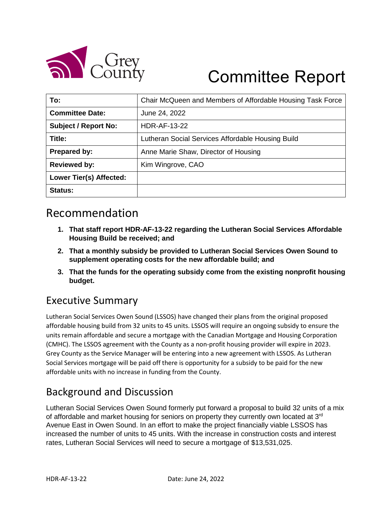

# Committee Report

| To:                            | Chair McQueen and Members of Affordable Housing Task Force |  |
|--------------------------------|------------------------------------------------------------|--|
| <b>Committee Date:</b>         | June 24, 2022                                              |  |
| <b>Subject / Report No:</b>    | <b>HDR-AF-13-22</b>                                        |  |
| Title:                         | Lutheran Social Services Affordable Housing Build          |  |
| Prepared by:                   | Anne Marie Shaw, Director of Housing                       |  |
| <b>Reviewed by:</b>            | Kim Wingrove, CAO                                          |  |
| <b>Lower Tier(s) Affected:</b> |                                                            |  |
| Status:                        |                                                            |  |

### Recommendation

- **1. That staff report HDR-AF-13-22 regarding the Lutheran Social Services Affordable Housing Build be received; and**
- **2. That a monthly subsidy be provided to Lutheran Social Services Owen Sound to supplement operating costs for the new affordable build; and**
- **3. That the funds for the operating subsidy come from the existing nonprofit housing budget.**

### Executive Summary

Lutheran Social Services Owen Sound (LSSOS) have changed their plans from the original proposed affordable housing build from 32 units to 45 units. LSSOS will require an ongoing subsidy to ensure the units remain affordable and secure a mortgage with the Canadian Mortgage and Housing Corporation (CMHC). The LSSOS agreement with the County as a non-profit housing provider will expire in 2023. Grey County as the Service Manager will be entering into a new agreement with LSSOS. As Lutheran Social Services mortgage will be paid off there is opportunity for a subsidy to be paid for the new affordable units with no increase in funding from the County.

### Background and Discussion

Lutheran Social Services Owen Sound formerly put forward a proposal to build 32 units of a mix of affordable and market housing for seniors on property they currently own located at  $3<sup>rd</sup>$ Avenue East in Owen Sound. In an effort to make the project financially viable LSSOS has increased the number of units to 45 units. With the increase in construction costs and interest rates, Lutheran Social Services will need to secure a mortgage of \$13,531,025.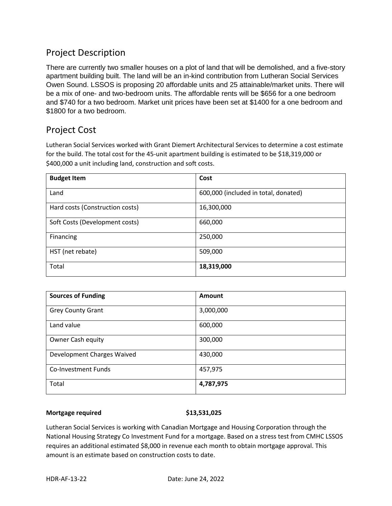### Project Description

There are currently two smaller houses on a plot of land that will be demolished, and a five-story apartment building built. The land will be an in-kind contribution from Lutheran Social Services Owen Sound. LSSOS is proposing 20 affordable units and 25 attainable/market units. There will be a mix of one- and two-bedroom units. The affordable rents will be \$656 for a one bedroom and \$740 for a two bedroom. Market unit prices have been set at \$1400 for a one bedroom and \$1800 for a two bedroom.

### Project Cost

Lutheran Social Services worked with Grant Diemert Architectural Services to determine a cost estimate for the build. The total cost for the 45-unit apartment building is estimated to be \$18,319,000 or \$400,000 a unit including land, construction and soft costs.

| <b>Budget Item</b>              | Cost                                 |
|---------------------------------|--------------------------------------|
| Land                            | 600,000 (included in total, donated) |
| Hard costs (Construction costs) | 16,300,000                           |
| Soft Costs (Development costs)  | 660,000                              |
| Financing                       | 250,000                              |
| HST (net rebate)                | 509,000                              |
| Total                           | 18,319,000                           |

| <b>Sources of Funding</b>  | Amount    |
|----------------------------|-----------|
| <b>Grey County Grant</b>   | 3,000,000 |
| Land value                 | 600,000   |
| <b>Owner Cash equity</b>   | 300,000   |
| Development Charges Waived | 430,000   |
| Co-Investment Funds        | 457,975   |
| Total                      | 4,787,975 |

### **Mortgage required \$13,531,025**

Lutheran Social Services is working with Canadian Mortgage and Housing Corporation through the National Housing Strategy Co Investment Fund for a mortgage. Based on a stress test from CMHC LSSOS requires an additional estimated \$8,000 in revenue each month to obtain mortgage approval. This amount is an estimate based on construction costs to date.